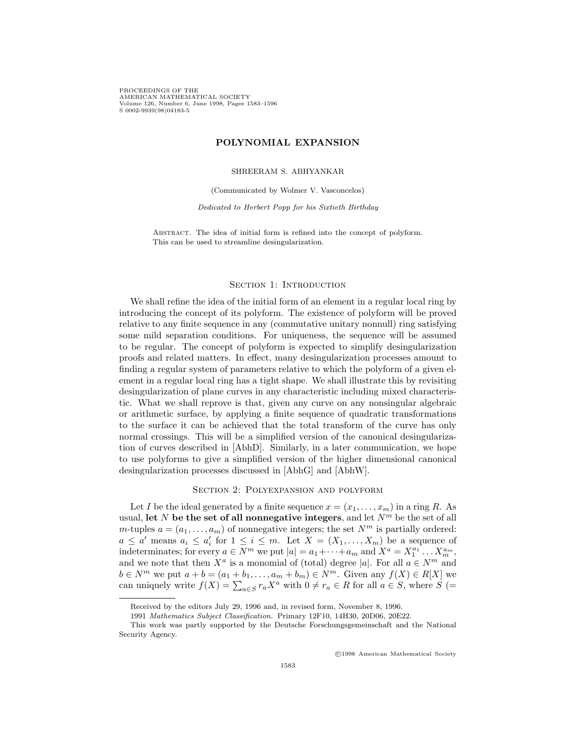PROCEEDINGS OF THE AMERICAN MATHEMATICAL SOCIETY Volume 126, Number 6, June 1998, Pages  $1583-1596$  $S$  0002-9939(98)04183-5 s 0002-9939(98)

# **POLYNOMIAL EXPANSION**

#### SHREERAM S. ABHYANKAR

(Communicated by Wolmer V. Vasconcelos)

*Dedicated to Herbert Popp for his Sixtieth Birthday*

ABSTRACT. The idea of initial form is refined into the concept of polyform. This can be used to streamline desingularization.

#### SECTION 1: INTRODUCTION

We shall refine the idea of the initial form of an element in a regular local ring by introducing the concept of its polyform. The existence of polyform will be proved relative to any finite sequence in any (commutative unitary nonnull) ring satisfying some mild separation conditions. For uniqueness, the sequence will be assumed to be regular. The concept of polyform is expected to simplify desingularization proofs and related matters. In effect, many desingularization processes amount to finding a regular system of parameters relative to which the polyform of a given element in a regular local ring has a tight shape. We shall illustrate this by revisiting desingularization of plane curves in any characteristic including mixed characteristic. What we shall reprove is that, given any curve on any nonsingular algebraic or arithmetic surface, by applying a finite sequence of quadratic transformations to the surface it can be achieved that the total transform of the curve has only normal crossings. This will be a simplified version of the canonical desingularization of curves described in [AbhD]. Similarly, in a later communication, we hope to use polyforms to give a simplified version of the higher dimensional canonical desingularization processes discussed in [AbhG] and [AbhW].

## Section 2: Polyexpansion and polyform

Let *I* be the ideal generated by a finite sequence  $x = (x_1, \ldots, x_m)$  in a ring *R*. As usual, let *N* be the set of all nonnegative integers, and let  $N<sup>m</sup>$  be the set of all *m*-tuples  $a = (a_1, \ldots, a_m)$  of nonnegative integers; the set  $N^m$  is partially ordered:  $a \leq a'$  means  $a_i \leq a'_i$  for  $1 \leq i \leq m$ . Let  $X = (X_1, \ldots, X_m)$  be a sequence of indeterminates; for every  $a \in \overline{N}^m$  we put  $|a| = a_1 + \cdots + a_m$  and  $X^a = X_1^{a_1} \cdots X_m^{a_m}$ , and we note that then  $X^a$  is a monomial of (total) degree |a|. For all  $a \in N^m$  and  $b \in N^m$  we put  $a + b = (a_1 + b_1, \ldots, a_m + b_m) \in N^m$ . Given any  $f(X) \in R[X]$  we can uniquely write  $f(X) = \sum_{a \in S} r_a X^a$  with  $0 \neq r_a \in R$  for all  $a \in S$ , where  $S$  (=

<sup>c</sup> 1998 American Mathematical Society

Received by the editors July 29, 1996 and, in revised form, November 8, 1996.

<sup>1991</sup> *Mathematics Subject Classification.* Primary 12F10, 14H30, 20D06, 20E22.

This work was partly supported by the Deutsche Forschungsgemeinschaft and the National Security Agency.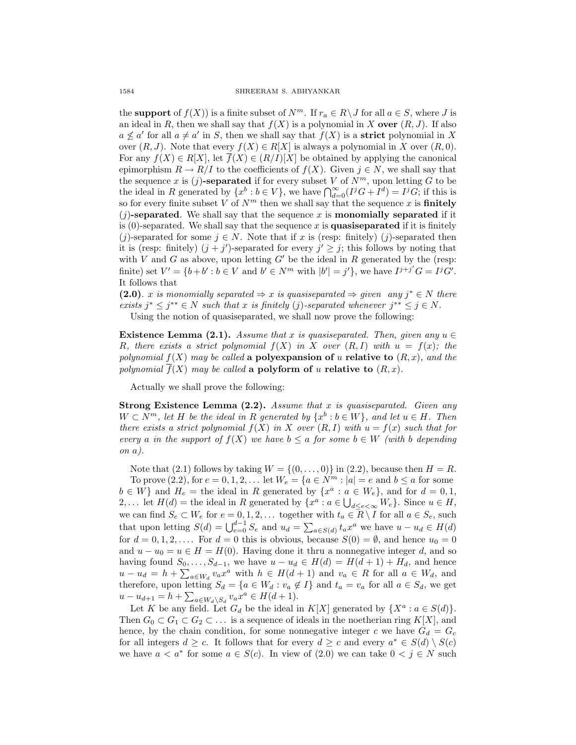the **support** of  $f(X)$ ) is a finite subset of  $N^m$ . If  $r_a \in R \setminus J$  for all  $a \in S$ , where *J* is an ideal in *R*, then we shall say that  $f(X)$  is a polynomial in X **over**  $(R, J)$ . If also  $a \not\leq a'$  for all  $a \neq a'$  in *S*, then we shall say that  $f(X)$  is a **strict** polynomial in X over  $(R, J)$ . Note that every  $f(X) \in R[X]$  is always a polynomial in X over  $(R, 0)$ . For any  $f(X) \in R[X]$ , let  $\overline{f}(X) \in (R/I)[X]$  be obtained by applying the canonical epimorphism  $R \to R/I$  to the coefficients of  $f(X)$ . Given  $j \in N$ , we shall say that the sequence *x* is  $(j)$ -separated if for every subset *V* of  $N^m$ , upon letting *G* to be the ideal in *R* generated by  $\{x^b : b \in V\}$ , we have  $\bigcap_{d=0}^{\infty} (I^jG + I^d) = I^jG$ ; if this is so for every finite subset *V* of  $N<sup>m</sup>$  then we shall say that the sequence *x* is **finitely**  $(j)$ -separated. We shall say that the sequence x is **monomially separated** if it is  $(0)$ -separated. We shall say that the sequence x is **quasiseparated** if it is finitely (*j*)-separated for some  $j \in N$ . Note that if *x* is (resp: finitely) (*j*)-separated then it is (resp: finitely)  $(j + j')$ -separated for every  $j' \geq j$ ; this follows by noting that with *V* and *G* as above, upon letting  $G'$  be the ideal in  $R$  generated by the (resp: finite) set  $V' = \{b+b' : b \in V \text{ and } b' \in N^m \text{ with } |b'| = j'\}$ , we have  $I^{j+j'}G = I^jG'.$ It follows that

**(2.0)**. *x is monomially separated ⇒ x is quasiseparated ⇒ given any j<sup>∗</sup> ∈ N there exists*  $j^* \leq j^{**} \in N$  *such that x is finitely* (*j*)*-separated whenever*  $j^{**} \leq j \in N$ . Using the notion of quasiseparated, we shall now prove the following:

**Existence Lemma (2.1).** *Assume that x is quasiseparated. Then, given any*  $u \in$ 

*R,* there exists a strict polynomial  $f(X)$  in X over  $(R, I)$  with  $u = f(x)$ ; the *polynomial*  $f(X)$  *may be called* **a polyexpansion of** *u* **relative to**  $(R, x)$ *, and the polynomial*  $\overline{f}(X)$  *may be called* **a polyform of** *u* **relative to**  $(R, x)$ *.* 

Actually we shall prove the following:

**Strong Existence Lemma (2.2).** *Assume that x is quasiseparated. Given any*  $W \subset N^m$ , let H be the ideal in R generated by  $\{x^b : b \in W\}$ , and let  $u \in H$ . Then *there exists a strict polynomial*  $f(X)$  *in X over*  $(R, I)$  *with*  $u = f(x)$  *such that for every a in the support of*  $f(X)$  *we have*  $b \le a$  *for some*  $b \in W$  *(with b depending on a).*

Note that (2.1) follows by taking  $W = \{(0, \ldots, 0)\}\$ in (2.2), because then  $H = R$ . To prove (2.2), for  $e = 0, 1, 2, ...$  let  $W_e = \{a \in N^m : |a| = e \text{ and } b \le a \text{ for some }$  $b \in W$ } and  $H_e$  = the ideal in *R* generated by  $\{x^a : a \in W_e\}$ , and for  $d = 0, 1$ , 2,... let  $H(d) =$  the ideal in *R* generated by  $\{x^a : a \in \bigcup_{d \le e < \infty} W_e\}$ . Since  $u \in H$ , we can find  $S_e \subset W_e$  for  $e = 0, 1, 2, \ldots$  together with  $t_a \in R \setminus I$  for all  $a \in S_e$ , such that upon letting  $S(d) = \bigcup_{e=0}^{d-1} S_e$  and  $u_d = \sum_{a \in S(d)} t_a x^a$  we have  $u - u_d \in H(d)$ for  $d = 0, 1, 2, \ldots$  . For  $d = 0$  this is obvious, because  $S(0) = \emptyset$ , and hence  $u_0 = 0$ and  $u - u_0 = u \in H = H(0)$ . Having done it thru a nonnegative integer *d*, and so having found  $S_0, \ldots, S_{d-1}$ , we have  $u - u_d \in H(d) = H(d+1) + H_d$ , and hence  $u - u_d = h + \sum_{a \in W_d} v_a x^a$  with  $h \in H(d+1)$  and  $v_a \in R$  for all  $a \in W_d$ , and therefore, upon letting  $S_d = \{a \in W_d : v_a \notin I\}$  and  $t_a = v_a$  for all  $a \in S_d$ , we get  $u - u_{d+1} = h + \sum_{a \in W_d \setminus S_d} v_a x^a \in H(d+1).$ 

Let *K* be any field. Let  $G_d$  be the ideal in  $K[X]$  generated by  $\{X^a : a \in S(d)\}.$ Then  $G_0 \subset G_1 \subset G_2 \subset \ldots$  is a sequence of ideals in the noetherian ring  $K[X]$ , and hence, by the chain condition, for some nonnegative integer *c* we have  $G_d = G_c$ for all integers  $d \geq c$ . It follows that for every  $d \geq c$  and every  $a^* \in S(d) \setminus S(c)$ we have  $a < a^*$  for some  $a \in S(c)$ . In view of (2.0) we can take  $0 < j \in N$  such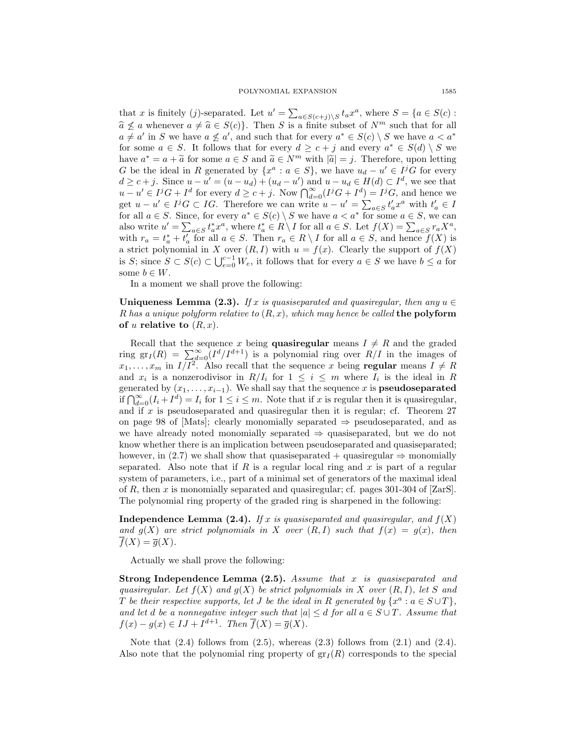that x is finitely (j)-separated. Let  $u' = \sum_{a \in S(c+j) \setminus S} t_a x^a$ , where  $S = \{a \in S(c) :$  $\hat{a} \nleq a$  whenever  $a \neq \hat{a} \in S(c)$ . Then *S* is a finite subset of  $N^m$  such that for all  $a \neq a'$  in *S* we have  $a \nleq a'$ , and such that for every  $a^* \in S(c) \setminus S$  we have  $a < a^*$ for some  $a \in S$ . It follows that for every  $d \geq c + j$  and every  $a^* \in S(d) \setminus S$  we have  $a^* = a + \tilde{a}$  for some  $a \in S$  and  $\tilde{a} \in N^m$  with  $|\tilde{a}| = j$ . Therefore, upon letting *G* be the ideal in *R* generated by  $\{x^a : a \in S\}$ , we have  $u_d - u' \in I^jG$  for every  $d \geq c+j$ . Since  $u - u' = (u - u_d) + (u_d - u')$  and  $u - u_d \in H(d) \subset I^d$ , we see that  $u - u' \in I^j G + I^d$  for every  $d \ge c + j$ . Now  $\bigcap_{d=0}^{\infty} (I^j G + I^d) = I^j G$ , and hence we get  $u - u' \in I^j G \subset I G$ . Therefore we can write  $u - u' = \sum_{a \in S} t'_a x^a$  with  $t'_a \in I$ for all  $a \in S$ . Since, for every  $a^* \in S(c) \setminus S$  we have  $a < a^*$  for some  $a \in S$ , we can also write  $u' = \sum_{a \in S} t_a^* x^a$ , where  $t_a^* \in R \setminus I$  for all  $a \in S$ . Let  $f(X) = \sum_{a \in S} r_a X^a$ , with  $r_a = t_a^* + t_a'$  for all  $a \in S$ . Then  $r_a \in R \setminus I$  for all  $a \in S$ , and hence  $f(X)$  is a strict polynomial in *X* over  $(R, I)$  with  $u = f(x)$ . Clearly the support of  $f(X)$ is *S*; since  $S \subset S(c) \subset \bigcup_{e=0}^{c-1} W_e$ , it follows that for every  $a \in S$  we have  $b \leq a$  for some  $b \in W$ .

In a moment we shall prove the following:

**Uniqueness Lemma (2.3).** *If x is quasiseparated and quasiregular, then any*  $u \in$ *R has a unique polyform relative to* (*R, x*)*, which may hence be called* **the polyform** of  $u$  relative to  $(R, x)$ .

Recall that the sequence *x* being **quasiregular** means  $I \neq R$  and the graded ring  $gr_I(R) = \sum_{d=0}^{\infty} (I^d/I^{d+1})$  is a polynomial ring over  $R/I$  in the images of  $x_1, \ldots, x_m$  in  $I/I^2$ . Also recall that the sequence *x* being **regular** means  $I \neq R$ and  $x_i$  is a nonzerodivisor in  $R/I_i$  for  $1 \leq i \leq m$  where  $I_i$  is the ideal in R generated by  $(x_1, \ldots, x_{i-1})$ . We shall say that the sequence *x* is **pseudoseparated** *if*  $\bigcap_{d=0}^{\infty} (I_i + I^d) = I_i$  for 1 ≤ *i* ≤ *m*. Note that if *x* is regular then it is quasiregular, and if *x* is pseudoseparated and quasiregular then it is regular; cf. Theorem 27 on page 98 of [Mats]; clearly monomially separated *⇒* pseudoseparated, and as we have already noted monomially separated *⇒* quasiseparated, but we do not know whether there is an implication between pseudoseparated and quasiseparated; however, in (2.7) we shall show that quasiseparated + quasiregular  $\Rightarrow$  monomially separated. Also note that if *R* is a regular local ring and *x* is part of a regular system of parameters, i.e., part of a minimal set of generators of the maximal ideal of *R*, then *x* is monomially separated and quasiregular; cf. pages 301-304 of [ZarS]. The polynomial ring property of the graded ring is sharpened in the following:

**Independence Lemma (2.4).** *If x is quasiseparated and quasiregular, and*  $f(X)$ *and*  $g(X)$  *are strict polynomials in X over*  $(R, I)$  *such that*  $f(x) = g(x)$ *, then*  $\overline{f}(X) = \overline{g}(X)$ .

Actually we shall prove the following:

**Strong Independence Lemma (2.5).** *Assume that x is quasiseparated and quasiregular. Let*  $f(X)$  *and*  $g(X)$  *be strict polynomials in X over*  $(R, I)$ *, let S and T be their respective supports, let <i>J be the ideal in R generated by*  $\{x^a : a \in S \cup T\}$ , *and let d be a nonnegative integer such that*  $|a| \leq d$  *for all*  $a \in S \cup T$ *. Assume that*  $f(x) - q(x) \in IJ + I^{d+1}$ . Then  $\overline{f}(X) = \overline{q}(X)$ .

Note that  $(2.4)$  follows from  $(2.5)$ , whereas  $(2.3)$  follows from  $(2.1)$  and  $(2.4)$ . Also note that the polynomial ring property of  $gr_I(R)$  corresponds to the special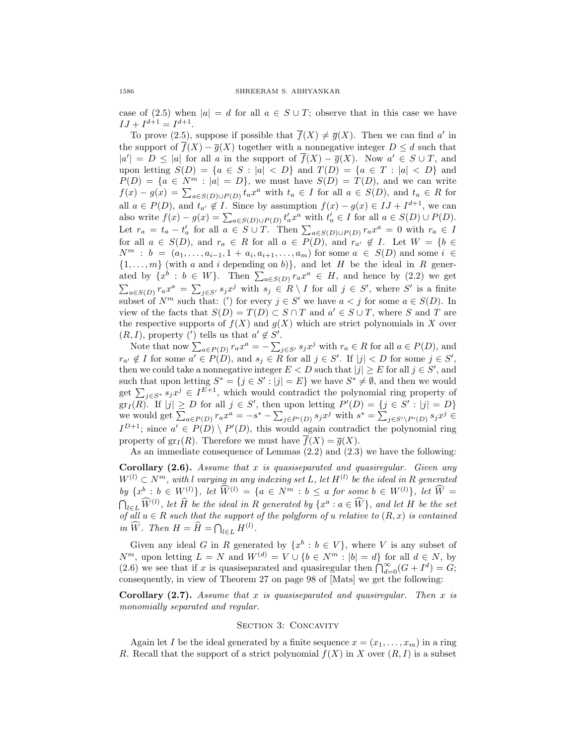case of (2.5) when  $|a| = d$  for all  $a \in S \cup T$ ; observe that in this case we have  $IJ + I^{d+1} = I^{d+1}.$ 

To prove (2.5), suppose if possible that  $\overline{f}(X) \neq \overline{g}(X)$ . Then we can find *a'* in the support of  $\overline{f}(X) - \overline{g}(X)$  together with a nonnegative integer  $D \leq d$  such that  $|a'| = D \leq |a|$  for all *a* in the support of  $f(X) - \overline{g}(X)$ . Now  $a' \in S \cup T$ , and upon letting  $S(D) = \{a \in S : |a| < D\}$  and  $T(D) = \{a \in T : |a| < D\}$  and  $P(D) = \{a \in N^m : |a| = D\}$ , we must have  $S(D) = T(D)$ , and we can write  $f(x) - g(x) = \sum_{a \in S(D) \cup P(D)} t_a x^a$  with  $t_a \in I$  for all  $a \in S(D)$ , and  $t_a \in R$  for all  $a \in P(D)$ , and  $t_{a'} \notin I$ . Since by assumption  $f(x) - g(x) \in IJ + I^{d+1}$ , we can also write  $f(x) - g(x) = \sum_{a \in S(D) \cup P(D)} t'_a x^a$  with  $t'_a \in I$  for all  $a \in S(D) \cup P(D)$ . Let  $r_a = t_a - t'_a$  for all  $a \in S \cup T$ . Then  $\sum_{a \in S(D) \cup P(D)} r_a x^a = 0$  with  $r_a \in I$ for all  $a \in S(D)$ , and  $r_a \in R$  for all  $a \in P(D)$ , and  $r_{a'} \notin I$ . Let  $W = \{b \in I\}$ *N*<sup>*m*</sup> : *b* = (*a*<sub>1</sub>*,...,a*<sub>*i*−1</sub>*,* 1 + *a*<sub>*i*</sub>, *a*<sub>*i*+1</sub>*,...,a*<sub>*m*</sub>) for some *a* ∈ *S*(*D*) and some *i* ∈  $\{1, \ldots, m\}$  (with *a* and *i* depending on *b*)*}*, and let *H* be the ideal in *R* generated by  $\{x^{\dot{b}} : b \in W\}$ . Then  $\sum_{a \in S(D)} r_a x^a \in H$ , and hence by (2.2) we get  $\sum_{a \in S(D)} r_a x^a = \sum_{j \in S'} s_j x^j$  with  $s_j \in R \setminus I$  for all  $j \in S'$ , where S' is a finite subset of  $N^m$  such that: (*'*) for every  $j \in S'$  we have  $a < j$  for some  $a \in S(D)$ . In view of the facts that  $S(D) = T(D) \subset S \cap T$  and  $a' \in S \cup T$ , where *S* and *T* are the respective supports of  $f(X)$  and  $g(X)$  which are strict polynomials in X over  $(R, I)$ , property (') tells us that  $a' \notin S'$ .

Note that now  $\sum_{a \in P(D)} r_a x^a = -\sum_{j \in S'} s_j x^j$  with  $r_a \in R$  for all  $a \in P(D)$ , and  $r_{a'} \notin I$  for some  $a' \in P(D)$ , and  $s_j \in R$  for all  $j \in S'$ . If  $|j| < D$  for some  $j \in S'$ , then we could take a nonnegative integer  $E < D$  such that  $|j| \ge E$  for all  $j \in S'$ , and such that upon letting  $S^* = \{j \in S' : |j| = E\}$  we have  $S^* \neq \emptyset$ , and then we would get  $\sum_{j \in S^*} s_j x^j \in I^{E+1}$ , which would contradict the polynomial ring property of  $\operatorname{gr}_I(R)$ . If  $|j| \geq D$  for all  $j \in S'$ , then upon letting  $P'(D) = \{j \in S' : |j| = D\}$ we would get  $\sum_{a \in P(D)} r_a x^a = -s^* - \sum_{j \in P'(D)} s_j x^j$  with  $s^* = \sum_{j \in S'\backslash P'(D)} s_j x^j \in$  $I^{D+1}$ ; since  $a' \in P(D) \setminus P'(D)$ , this would again contradict the polynomial ring property of  $\text{gr}_I(R)$ . Therefore we must have  $\overline{f}(X) = \overline{g}(X)$ .

As an immediate consequence of Lemmas (2.2) and (2.3) we have the following:

**Corollary (2.6).** *Assume that x is quasiseparated and quasiregular. Given any W*<sup>(*l*</sup>) ⊂ *N*<sup>*m*</sup>, with *l varying in any indexing set L*, let  $H^{(l)}$  be the ideal in *R* generated by  $\{x^b : b \in W^{(l)}\}, \text{ let } \widehat{W}^{(l)} = \{a \in N^m : b \le a \text{ for some } b \in W^{(l)}\}, \text{ let } \widehat{W}$ by  $\{x^b : b \in W^{(l)}\}$ , let  $W^{(l)} = \{a \in N^m : b \le a \text{ for some } b \in W^{(l)}\}$ , let  $W = \bigcap_{l \in L} \widehat{W}^{(l)}$ , let  $\widehat{H}$  be the ideal in R generated by  $\{x^a : a \in \widehat{W}\}$ , and let  $H$  be the set *of all*  $u \in R$  *such that the support of the polyform of*  $u$  *relative to*  $(R, x)$  *is contained in*  $\widehat{W}$ *. Then*  $H = \widehat{H} = \bigcap_{l \in L} H^{(l)}$ *.* 

Given any ideal *G* in *R* generated by  $\{x^b : b \in V\}$ , where *V* is any subset of *N*<sup>*m*</sup>, upon letting  $L = N$  and  $W^{(d)} = V \cup \{b \in N^m : |b| = d\}$  for all  $d \in N$ , by (2.6) we see that if *x* is quasiseparated and quasiregular then  $\bigcap_{d=0}^{\infty} (G + I^d) = G$ ; consequently, in view of Theorem 27 on page 98 of [Mats] we get the following:

**Corollary (2.7).** *Assume that x is quasiseparated and quasiregular. Then x is monomially separated and regular.*

### SECTION 3: CONCAVITY

Again let *I* be the ideal generated by a finite sequence  $x = (x_1, \ldots, x_m)$  in a ring *R*. Recall that the support of a strict polynomial  $f(X)$  in *X* over  $(R, I)$  is a subset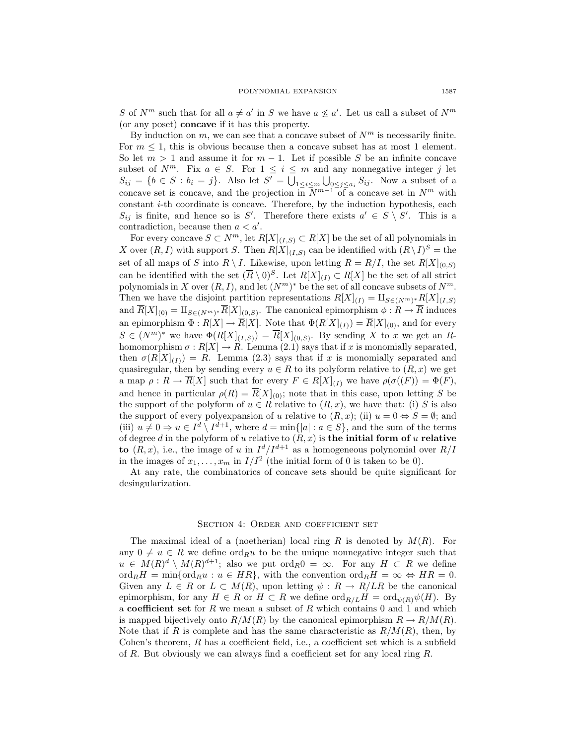*S* of  $N^m$  such that for all  $a \neq a'$  in *S* we have  $a \nleq a'$ . Let us call a subset of  $N^m$ (or any poset) **concave** if it has this property.

By induction on  $m$ , we can see that a concave subset of  $N^m$  is necessarily finite. For  $m \leq 1$ , this is obvious because then a concave subset has at most 1 element. So let  $m > 1$  and assume it for  $m - 1$ . Let if possible *S* be an infinite concave subset of  $N^m$ . Fix  $a \in S$ . For  $1 \leq i \leq m$  and any nonnegative integer *j* let  $S_{ij} = \{b \in S : b_i = j\}.$  Also let  $S' = \bigcup_{1 \leq i \leq m} \bigcup_{0 \leq j \leq a_i} S_{ij}.$  Now a subset of a concave set is concave, and the projection in  $N^{m-1}$  of a concave set in  $N^m$  with constant *i*-th coordinate is concave. Therefore, by the induction hypothesis, each *S*<sup>*ij*</sup> is finite, and hence so is *S'*. Therefore there exists  $a' \in S \setminus S'$ . This is a contradiction, because then  $a < a'$ .

For every concave  $S \subset N^m$ , let  $R[X]_{(I,S)} \subset R[X]$  be the set of all polynomials in *X* over  $(R, I)$  with support *S*. Then  $R[X]$ <sub>(*I,S*)</sub> can be identified with  $(R \setminus I)^S$  = the set of all maps of *S* into  $R \setminus I$ . Likewise, upon letting  $\overline{R} = R/I$ , the set  $\overline{R}[X]_{(0,S)}$ can be identified with the set  $(\overline{R} \setminus 0)^S$ . Let  $R[X]_{(I)} \subset R[X]$  be the set of all strict polynomials in *X* over  $(R, I)$ , and let  $(N<sup>m</sup>)<sup>*</sup>$  be the set of all concave subsets of  $N<sup>m</sup>$ . Then we have the disjoint partition representations  $R[X]_{(I)} = \amalg_{S \in (N^m)^*} R[X]_{(I,S)}$ and  $\overline{R}[X]_{(0)} = \amalg_{S \in (N^m)^*} \overline{R}[X]_{(0,S)}$ . The canonical epimorphism  $\phi : R \to \overline{R}$  induces an epimorphism  $\Phi: R[X] \to \overline{R}[X]$ . Note that  $\Phi(R[X]_{(I)}) = \overline{R}[X]_{(0)}$ , and for every  $S \in (N^m)^*$  we have  $\Phi(R[X]_{(I,S)}) = \overline{R}[X]_{(0,S)}$ . By sending *X* to *x* we get an *R*homomorphism  $\sigma: R[X] \to R$ . Lemma (2.1) says that if *x* is monomially separated, then  $\sigma(R[X]_{(I)}) = R$ . Lemma (2.3) says that if x is monomially separated and quasiregular, then by sending every  $u \in R$  to its polyform relative to  $(R, x)$  we get a map  $\rho: R \to \overline{R}[X]$  such that for every  $F \in R[X]_{(I)}$  we have  $\rho(\sigma(F)) = \Phi(F)$ , and hence in particular  $\rho(R) = \overline{R}[X]_{(0)}$ ; note that in this case, upon letting *S* be the support of the polyform of  $u \in R$  relative to  $(R, x)$ , we have that: (i) *S* is also the support of every polyexpansion of *u* relative to  $(R, x)$ ; (ii)  $u = 0 \Leftrightarrow S = \emptyset$ ; and (iii)  $u \neq 0 \Rightarrow u \in I^d \setminus I^{d+1}$ , where  $d = \min\{|a| : a \in S\}$ , and the sum of the terms of degree *d* in the polyform of *u* relative to  $(R, x)$  is the initial form of *u* relative **to**  $(R, x)$ , i.e., the image of *u* in  $I^d/I^{d+1}$  as a homogeneous polynomial over  $R/I$ in the images of  $x_1, \ldots, x_m$  in  $I/I^2$  (the initial form of 0 is taken to be 0).

At any rate, the combinatorics of concave sets should be quite significant for desingularization.

## SECTION 4: ORDER AND COEFFICIENT SET

The maximal ideal of a (noetherian) local ring *R* is denoted by *M*(*R*). For any  $0 \neq u \in R$  we define ord<sub>R</sub>*u* to be the unique nonnegative integer such that  $u \in M(R)^d \setminus M(R)^{d+1}$ ; also we put ord<sub>*R*</sub>0 =  $\infty$ . For any *H ⊂ R* we define  $\mathrm{ord}_R H = \min \{ \mathrm{ord}_R u : u \in HR \}$ , with the convention  $\mathrm{ord}_R H = \infty \Leftrightarrow HR = 0$ . Given any  $L \in R$  or  $L \subset M(R)$ , upon letting  $\psi : R \to R/LR$  be the canonical epimorphism, for any  $H \in R$  or  $H \subset R$  we define  $\text{ord}_{R/L}H = \text{ord}_{\psi(R)}\psi(H)$ . By a **coefficient set** for *R* we mean a subset of *R* which contains 0 and 1 and which is mapped bijectively onto  $R/M(R)$  by the canonical epimorphism  $R \to R/M(R)$ . Note that if *R* is complete and has the same characteristic as  $R/M(R)$ , then, by Cohen's theorem, *R* has a coefficient field, i.e., a coefficient set which is a subfield of *R*. But obviously we can always find a coefficient set for any local ring *R*.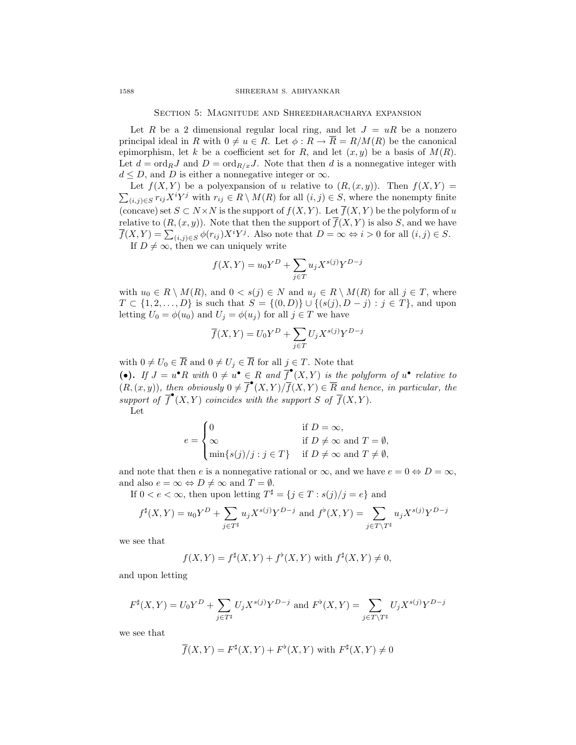SECTION 5: MAGNITUDE AND SHREEDHARACHARYA EXPANSION

Let *R* be a 2 dimensional regular local ring, and let  $J = uR$  be a nonzero principal ideal in *R* with  $0 \neq u \in R$ . Let  $\phi : R \to \overline{R} = R/M(R)$  be the canonical epimorphism, let *k* be a coefficient set for *R*, and let  $(x, y)$  be a basis of  $M(R)$ . Let  $d = \text{ord}_R J$  and  $D = \text{ord}_{R/x} J$ . Note that then *d* is a nonnegative integer with  $d \leq D$ , and *D* is either a nonnegative integer or  $\infty$ .

 $\sum_{(i,j)\in S} r_{ij} X^i Y^j$  with  $r_{ij} \in R \setminus M(R)$  for all  $(i,j) \in S$ , where the nonempty finite Let  $f(X, Y)$  be a polyexpansion of *u* relative to  $(R, (x, y))$ . Then  $f(X, Y) =$ (concave) set  $S \subset N \times N$  is the support of  $f(X, Y)$ . Let  $\overline{f}(X, Y)$  be the polyform of *u* relative to  $(R, (x, y))$ . Note that then the support of  $\overline{f}(X, Y)$  is also *S*, and we have  $\overline{f}(X, Y) = \sum_{(i,j) \in S} \phi(r_{ij}) X^i Y^j$ . Also note that  $D = \infty \Leftrightarrow i > 0$  for all  $(i, j) \in S$ . If  $D \neq \infty$ , then we can uniquely write

$$
f(X,Y) = u_0 Y^D + \sum_{j \in T} u_j X^{s(j)} Y^{D-j}
$$

with  $u_0 \in R \setminus M(R)$ , and  $0 < s(j) \in N$  and  $u_j \in R \setminus M(R)$  for all  $j \in T$ , where *T* ⊂ {1, 2,..., *D*} is such that *S* = {(0*, D*)}∪ {(*s*(*j*)*, D* − *j*) : *j* ∈ *T*}, and upon letting  $U_0 = \phi(u_0)$  and  $U_j = \phi(u_j)$  for all  $j \in T$  we have

$$
\overline{f}(X,Y) = U_0 Y^D + \sum_{j \in T} U_j X^{s(j)} Y^{D-j}
$$

with  $0 \neq U_0 \in \overline{R}$  and  $0 \neq U_j \in \overline{R}$  for all  $j \in T$ . Note that (•). If  $J = u^{\bullet}R$  with  $0 \neq u^{\bullet} \in R$  and  $\overline{f}^{\bullet}(X,Y)$  is the polyform of  $u^{\bullet}$  relative to  $(R, (x, y))$ , then obviously  $0 \neq \overline{f}^{\bullet}(X, Y)/\overline{f}(X, Y) \in \overline{R}$  and hence, in particular, the *support of*  $\overline{f}^{\bullet}(X, Y)$  *coincides with the support S of*  $\overline{f}(X, Y)$ . Let

$$
e = \begin{cases} 0 & \text{if } D = \infty, \\ \infty & \text{if } D \neq \infty \text{ and } T = \emptyset, \\ \min\{s(j)/j : j \in T\} & \text{if } D \neq \infty \text{ and } T \neq \emptyset, \end{cases}
$$

and note that then *e* is a nonnegative rational or  $\infty$ , and we have  $e = 0 \Leftrightarrow D = \infty$ , and also  $e = \infty \Leftrightarrow D \neq \infty$  and  $T = \emptyset$ .

If  $0 < e < \infty$ , then upon letting  $T^{\sharp} = \{j \in T : s(j)/j = e\}$  and

$$
f^{\sharp}(X,Y)=u_0Y^D+\sum_{j\in T^{\sharp}}u_jX^{s(j)}Y^{D-j} \text{ and } f^{\flat}(X,Y)=\sum_{j\in T\backslash T^{\sharp}}u_jX^{s(j)}Y^{D-j}
$$

we see that

$$
f(X,Y)=f^{\sharp}(X,Y)+f^{\flat}(X,Y) \text{ with } f^{\sharp}(X,Y)\neq 0,
$$

and upon letting

$$
F^{\sharp}(X,Y)=U_0Y^D+\sum_{j\in T^{\sharp}}U_jX^{s(j)}Y^{D-j} \text{ and } F^{\flat}(X,Y)=\sum_{j\in T\backslash T^{\sharp}}U_jX^{s(j)}Y^{D-j}
$$

we see that

$$
\overline{f}(X,Y)=F^{\sharp}(X,Y)+F^{\flat}(X,Y) \text{ with } F^{\sharp}(X,Y)\neq 0
$$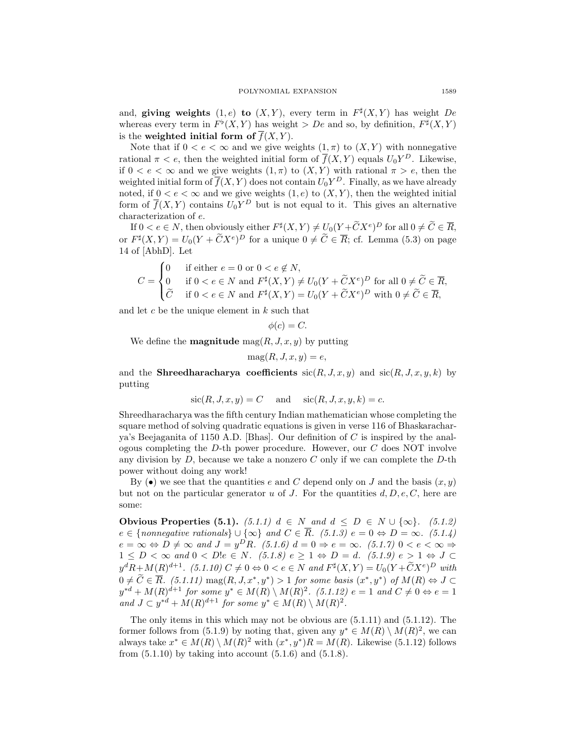and, **giving weights**  $(1, e)$  **to**  $(X, Y)$ , every term in  $F^{\sharp}(X, Y)$  has weight *De* whereas every term in  $F^{\flat}(X, Y)$  has weight *> De* and so, by definition,  $F^{\sharp}(X, Y)$ is the **weighted initial form of**  $\overline{f}(X, Y)$ .

Note that if  $0 < e < \infty$  and we give weights  $(1, \pi)$  to  $(X, Y)$  with nonnegative rational  $\pi < e$ , then the weighted initial form of  $\overline{f}(X, Y)$  equals  $U_0 Y^D$ . Likewise, if  $0 < e < \infty$  and we give weights  $(1, \pi)$  to  $(X, Y)$  with rational  $\pi > e$ , then the weighted initial form of  $\overline{f}(X, Y)$  does not contain  $U_0 Y^D$ . Finally, as we have already noted, if  $0 < e < \infty$  and we give weights  $(1, e)$  to  $(X, Y)$ , then the weighted initial form of  $\overline{f}(X, Y)$  contains  $U_0 Y^D$  but is not equal to it. This gives an alternative characterization of *e*.

If  $0 < e \in N$ , then obviously either  $F^{\sharp}(X, Y) \neq U_0(Y + \widetilde{C}X^e)^D$  for all  $0 \neq \widetilde{C} \in \overline{R}$ , or  $F^{\sharp}(X, Y) = U_0(Y + \tilde{C}X^e)^D$  for a unique  $0 \neq \tilde{C} \in \overline{R}$ ; cf. Lemma (5.3) on page 14 of [AbhD]. Let

$$
C = \begin{cases} 0 & \text{if either } e = 0 \text{ or } 0 < e \notin N, \\ 0 & \text{if } 0 < e \in N \text{ and } F^{\sharp}(X, Y) \neq U_0(Y + \widetilde{C}X^e)^D \text{ for all } 0 \neq \widetilde{C} \in \overline{R}, \\ \widetilde{C} & \text{if } 0 < e \in N \text{ and } F^{\sharp}(X, Y) = U_0(Y + \widetilde{C}X^e)^D \text{ with } 0 \neq \widetilde{C} \in \overline{R}, \end{cases}
$$

and let *c* be the unique element in *k* such that

$$
\phi(c) = C.
$$

We define the **magnitude**  $\text{mag}(R, J, x, y)$  by putting

$$
\mathrm{mag}(R, J, x, y) = e,
$$

and the **Shreedharacharya coefficients**  $\text{sic}(R, J, x, y)$  and  $\text{sic}(R, J, x, y, k)$  by putting

$$
\operatorname{sic}(R, J, x, y) = C \quad \text{and} \quad \operatorname{sic}(R, J, x, y, k) = c.
$$

Shreedharacharya was the fifth century Indian mathematician whose completing the square method of solving quadratic equations is given in verse 116 of Bhaskaracharya's Beejaganita of 1150 A.D. [Bhas]. Our definition of *C* is inspired by the analogous completing the *D*-th power procedure. However, our *C* does NOT involve any division by *D*, because we take a nonzero *C* only if we can complete the *D*-th power without doing any work!

By ( $\bullet$ ) we see that the quantities *e* and *C* depend only on *J* and the basis  $(x, y)$ but not on the particular generator *u* of *J*. For the quantities  $d, D, e, C$ , here are some:

**Obvious Properties (5.1).** (5.1.1)  $d \in N$  *and*  $d \le D \in N$  ∪ {∞}*.* (5.1.2) *e* ∈ {*nonnegative rationals*} ∪ {∞} *and C* ∈  $\overline{R}$ *.* (5.1.3)  $e = 0 \Leftrightarrow D = \infty$ *.* (5.1.4)  $e = \infty \Leftrightarrow D \neq \infty$  and  $J = y^D R$ *. (5.1.6)*  $d = 0 \Rightarrow e = \infty$ *. (5.1.7)*  $0 < e < \infty$  $1 \leq D < \infty$  and  $0 < D!e \in N$ *.* (5.1.8)  $e \geq 1 \Leftrightarrow D = d$ *.* (5.1.9)  $e > 1 \Leftrightarrow J \subset$  $y^d R + M(R)^{d+1}$ . (5.1.10)  $C \neq 0 \Leftrightarrow 0 < e \in N$  and  $F^{\sharp}(X, Y) = U_0(Y + \widetilde{C}X^e)^D$  with  $0 \neq C \in R.$  (5.1.11) mag(R, J,  $x^*, y^*$ ) > 1 for some basis  $(x^*, y^*)$  of  $M(R) \Leftrightarrow J \subset$  $y^{*d} + M(R)^{d+1}$  for some  $y^* \in M(R) \setminus M(R)^2$ . (5.1.12)  $e = 1$  and  $C \neq 0 \Leftrightarrow e = 1$ *and*  $J \subset y^{*d} + M(R)^{d+1}$  *for some*  $y^* \in M(R) \setminus M(R)^2$ .

The only items in this which may not be obvious are (5.1.11) and (5.1.12). The former follows from (5.1.9) by noting that, given any  $y^* \in M(R) \setminus M(R)^2$ , we can always take  $x^* \in M(R) \setminus M(R)^2$  with  $(x^*, y^*)R = M(R)$ . Likewise (5.1.12) follows from  $(5.1.10)$  by taking into account  $(5.1.6)$  and  $(5.1.8)$ .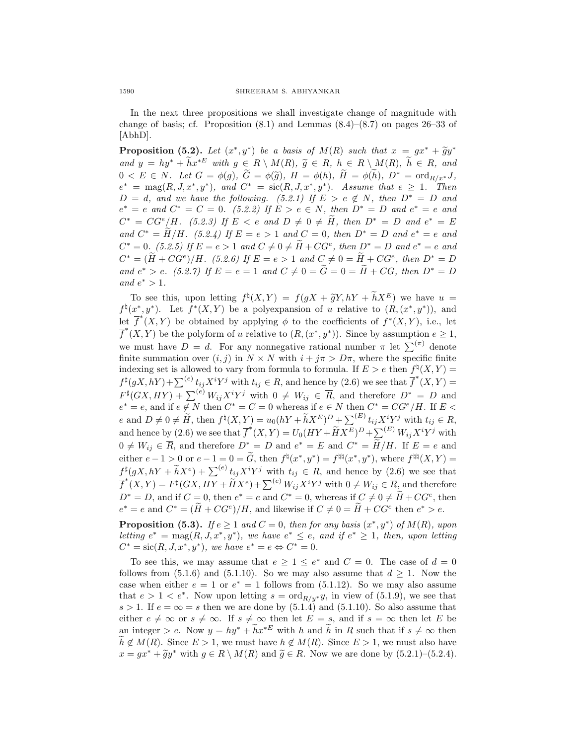In the next three propositions we shall investigate change of magnitude with change of basis; cf. Proposition  $(8.1)$  and Lemmas  $(8.4)$ – $(8.7)$  on pages 26–33 of [AbhD].

**Proposition (5.2).** Let  $(x^*, y^*)$  be a basis of  $M(R)$  such that  $x = gx^* + \tilde{g}y^*$ and  $y = hy^* + \widetilde{h}x^{*E}$  with  $g \in R \setminus M(R)$ ,  $\widetilde{g} \in R$ ,  $h \in R \setminus M(R)$ ,  $\widetilde{h} \in R$ , and  $0 < E \in N$ . Let  $G = \phi(g)$ ,  $G = \phi(\tilde{g})$ ,  $H = \phi(h)$ ,  $H = \phi(h)$ ,  $D^* = \text{ord}_{R/x^*}J$ ,  $e^* = \text{mag}(R, J, x^*, y^*)$ , and  $C^* = \text{sic}(R, J, x^*, y^*)$ . Assume that  $e \geq 1$ . Then  $D = d$ *, and we have the following.* (5.2.1) If  $E > e \notin N$ *, then*  $D^* = D$  *and*  $e^* = e$  *and*  $C^* = C = 0$ *.* (5.2.2) If  $E > e \in N$ *, then*  $D^* = D$  *and*  $e^* = e$  *and*  $C^* = CG^e/H$ *.* (5.2.3) If  $E < e$  and  $D \neq 0 \neq H$ , then  $D^* = D$  and  $e^* = E$ *and*  $C^* = \tilde{H}/H$ . (5.2.4) If  $E = e > 1$  *and*  $C = 0$ , *then*  $D^* = D$  *and*  $e^* = e$  *and*  $C^* = 0$ . (5.2.5) If  $E = e > 1$  and  $C \neq 0 \neq \tilde{H} + CG^e$ , then  $D^* = D$  and  $e^* = e$  and  $C^* = (\widetilde{H} + CG^e)/H$ *.* (5.2.6) If  $E = e > 1$  and  $C \neq 0 = \widetilde{H} + CG^e$ , then  $D^* = D$ *and*  $e^* > e$ *.* (5.2.7) If  $E = e = 1$  *and*  $C \neq 0 = \tilde{G} = 0 = \tilde{H} + CG$ *, then*  $D^* = D$ *and*  $e^* > 1$ *.* 

To see this, upon letting  $f^{\dagger}(X, Y) = f(gX + \tilde{g}Y, hY + \tilde{h}X^E)$  we have  $u =$  $f^{\natural}(x^*,y^*)$ . Let  $f^*(X,Y)$  be a polyexpansion of *u* relative to  $(R,(x^*,y^*))$ , and let  $\overline{f}^*(X, Y)$  be obtained by applying  $\phi$  to the coefficients of  $f^*(X, Y)$ , i.e., let  $f^{*}(X, Y)$  be the polyform of *u* relative to  $(R, (x^{*}, y^{*}))$ . Since by assumption  $e \geq 1$ , we must have  $D = d$ . For any nonnegative rational number  $\pi$  let  $\sum^{(\pi)}$  denote finite summation over  $(i, j)$  in  $N \times N$  with  $i + j\pi > D\pi$ , where the specific finite indexing set is allowed to vary from formula to formula. If  $E > e$  then  $f^{\sharp}(X, Y) =$  $f^{\sharp}(gX, hY) + \sum^{(e)} t_{ij} X^{i} Y^{j}$  with  $t_{ij} \in R$ , and hence by (2.6) we see that  $\overline{f}^{*}(X, Y) =$  $F^{\sharp}(GX, HY) + \sum_{i}^{(e)} W_{ij}X^{i}Y^{j}$  with  $0 \neq W_{ij} \in \overline{R}$ , and therefore  $D^{*} = D$  and  $e^* = e$ , and if  $e \notin N$  then  $C^* = C = 0$  whereas if  $e \in N$  then  $C^* = CG^e/H$ . If  $E \le$ e and  $D \neq 0 \neq \widetilde{H}$ , then  $f^{\natural}(X,Y) = u_0(hY + \widetilde{h}X^E)^D + \sum_{i=1}^{n} u_{ij}X^iY^j$  with  $t_{ij} \in R$ , and hence by (2.6) we see that  $\overline{f}^*(X, Y) = U_0(HY + \widetilde{H}X^E)^D + \sum_{\infty}^{(E)} W_{ij}X^iY^j$  with  $0 \neq W_{ij} \in \overline{R}$ , and therefore  $D^* = D$  and  $e^* = E$  and  $C^* = \widetilde{H}/H$ . If  $E = e$  and either  $e-1>0$  or  $e-1=0=\widetilde{G}$ , then  $f^{\natural}(x^*,y^*)=f^{\natural \natural}(x^*,y^*)$ , where  $f^{\natural \natural}(X,Y)=$  $f^{\sharp}(gX, hY + \tilde{h}X^e) + \sum^{(e)} t_{ij}X^iY^j$  with  $t_{ij} \in R$ , and hence by (2.6) we see that  $f^*(X, Y) = F^{\sharp}(GX, HF + \widetilde{H}X^e) + \sum^{(e)} W_{ij}X^iY^j$  with  $0 \neq W_{ij} \in \overline{R}$ , and therefore  $D^* = D$ , and if  $C = 0$ , then  $e^* = e$  and  $C^* = 0$ , whereas if  $C \neq 0 \neq \widetilde{H} + CG^e$ , then  $e^* = e$  and  $C^* = (\tilde{H} + CG^e)/H$ , and likewise if  $C \neq 0 = \tilde{H} + CG^e$  then  $e^* > e$ .

**Proposition (5.3).** *If*  $e \geq 1$  *and*  $C = 0$ *, then for any basis*  $(x^*, y^*)$  *of*  $M(R)$ *, upon letting*  $e^* = \text{mag}(R, J, x^*, y^*)$ *, we have*  $e^* \leq e$ *, and if*  $e^* \geq 1$ *, then, upon letting*  $C^* = \text{sic}(R, J, x^*, y^*)$ *, we have*  $e^* = e \Leftrightarrow C^* = 0$ *.* 

To see this, we may assume that  $e \geq 1 \leq e^*$  and  $C = 0$ . The case of  $d = 0$ follows from (5.1.6) and (5.1.10). So we may also assume that  $d \geq 1$ . Now the case when either  $e = 1$  or  $e^* = 1$  follows from (5.1.12). So we may also assume that  $e > 1 < e^*$ . Now upon letting  $s = \text{ord}_{R/y^*} y$ , in view of (5.1.9), we see that  $s > 1$ . If  $e = \infty = s$  then we are done by (5.1.4) and (5.1.10). So also assume that either  $e \neq \infty$  or  $s \neq \infty$ . If  $s \neq \infty$  then let  $E = s$ , and if  $s = \infty$  then let  $E$  be an integer *> e*. Now  $y = hy^* + \widetilde{h}x^{*E}$  with *h* and  $\widetilde{h}$  in *R* such that if  $s \neq \infty$  then  $h \notin M(R)$ . Since  $E > 1$ , we must have  $h \notin M(R)$ . Since  $E > 1$ , we must also have  $x = gx^* + \widetilde{g}y^*$  with  $g \in R \setminus M(R)$  and  $\widetilde{g} \in R$ . Now we are done by (5.2.1)–(5.2.4).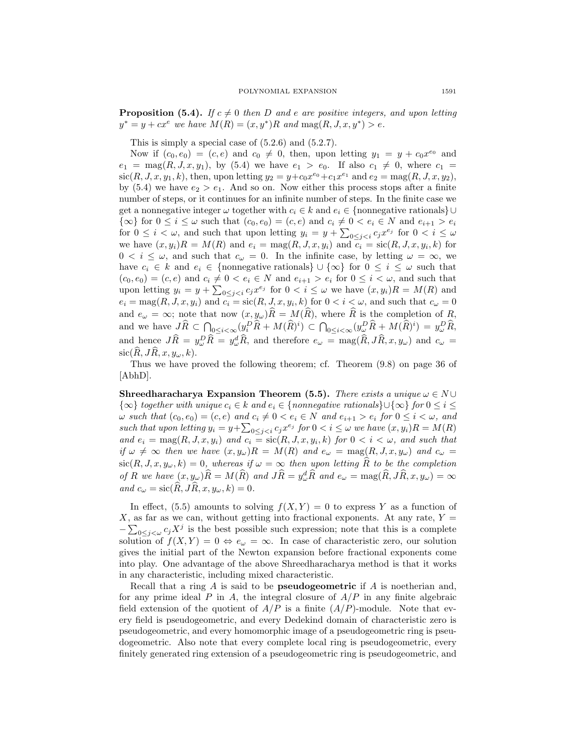**Proposition (5.4).** *If*  $c \neq 0$  *then D* and *e* are positive integers, and upon letting  $y^* = y + cx^e$  *we have*  $M(R) = (x, y^*)R$  *and*  $\text{mag}(R, J, x, y^*) > e$ .

This is simply a special case of  $(5.2.6)$  and  $(5.2.7)$ .

Now if  $(c_0, e_0) = (c, e)$  and  $c_0 \neq 0$ , then, upon letting  $y_1 = y + c_0 x^{e_0}$  and  $e_1 = \text{mag}(R, J, x, y_1), \text{ by (5.4) we have } e_1 > e_0.$  If also  $c_1 \neq 0, \text{ where } c_1 =$  $\text{sic}(R, J, x, y_1, k)$ , then, upon letting  $y_2 = y + c_0 x^{e_0} + c_1 x^{e_1}$  and  $e_2 = \text{mag}(R, J, x, y_2)$ , by  $(5.4)$  we have  $e_2 > e_1$ . And so on. Now either this process stops after a finite number of steps, or it continues for an infinite number of steps. In the finite case we get a nonnegative integer  $\omega$  together with  $c_i \in k$  and  $e_i \in \{\text{nonnegative rationals}\}\cup$ *{*∞*}* for  $0 \le i \le \omega$  such that  $(c_0, e_0) = (c, e)$  and  $c_i \ne 0 < e_i \in N$  and  $e_{i+1} > e_i$ for  $0 \leq i \leq \omega$ , and such that upon letting  $y_i = y + \sum_{0 \leq j \leq i} c_j x^{e_j}$  for  $0 \leq i \leq \omega$ we have  $(x, y_i)R = M(R)$  and  $e_i = \text{mag}(R, J, x, y_i)$  and  $\overline{c_i} = \text{sic}(R, J, x, y_i, k)$  for  $0 < i \leq \omega$ , and such that  $c_{\omega} = 0$ . In the infinite case, by letting  $\omega = \infty$ , we have  $c_i \in k$  and  $e_i \in \{\text{nonnegative rationals}\}\cup \{\infty\}$  for  $0 \leq i \leq \omega$  such that  $(c_0, e_0) = (c, e)$  and  $c_i \neq 0 < e_i \in N$  and  $e_{i+1} > e_i$  for  $0 \leq i < \omega$ , and such that upon letting  $y_i = y + \sum_{0 \leq j < i} c_j x^{e_j}$  for  $0 < i \leq \omega$  we have  $(x, y_i)R = M(R)$  and  $e_i = \text{mag}(R, J, x, y_i)$  and  $c_i = \text{sic}(R, J, x, y_i, k)$  for  $0 < i < \omega$ , and such that  $c_\omega = 0$ and  $e_\omega = \infty$ ; note that now  $(x, y_\omega)\hat{R} = M(\hat{R})$ , where  $\hat{R}$  is the completion of *R*, and we have  $J\widehat{R} \subset \bigcap_{0 \leq i < \infty} (y_i^D \widehat{R} + M(\widehat{R})^i) \subset \bigcap_{0 \leq i < \infty} (y_\omega^D \widehat{R} + M(\widehat{R})^i) = y_\omega^D \widehat{R}$ , and hence  $J\hat{R} = y_{\omega}^D \hat{R} = y_{\omega}^d \hat{R}$ , and therefore  $e_{\omega} = \text{mag}(\hat{R}, J\hat{R}, x, y_{\omega})$  and  $c_{\omega} =$  $\operatorname{sic}(\widehat{R}, J\widehat{R}, x, y_\omega, k).$ 

Thus we have proved the following theorem; cf. Theorem (9.8) on page 36 of [AbhD].

**Shreedharacharya Expansion Theorem (5.5).** *There exists a unique*  $\omega \in N \cup$ *{*∞*} together with unique*  $c_i \in k$  *and*  $e_i \in \{nonnegative \; rationals\} \cup \{\infty\}$  *for*  $0 \le i \le$  $\omega$  such that  $(c_0, e_0) = (c, e)$  and  $c_i \neq 0 < e_i \in N$  and  $e_{i+1} > e_i$  for  $0 \leq i < \omega$ , and such that upon letting  $y_i = y + \sum_{0 \leq j < i} c_j x^{e_j}$  for  $0 < i \leq \omega$  we have  $(x, y_i)R = M(R)$ *and*  $e_i = \text{mag}(R, J, x, y_i)$  *and*  $c_i = \text{sic}(R, J, x, y_i, k)$  *for*  $0 < i < \omega$ *, and such that if*  $\omega \neq \infty$  *then we have*  $(x, y_{\omega})R = M(R)$  *and*  $e_{\omega} = \text{mag}(R, J, x, y_{\omega})$  *and*  $c_{\omega} =$  $\operatorname{sic}(R, J, x, y_\omega, k) = 0$ , whereas if  $\omega = \infty$  then upon letting  $\widehat{R}$  to be the completion of R we have  $(x, y_{\omega})\hat{R} = M(\hat{R})$  and  $J\hat{R} = y_{\omega}^d\hat{R}$  and  $e_{\omega} = \text{mag}(\hat{R}, J\hat{R}, x, y_{\omega}) = \infty$  $and$   $c_{\omega} = \text{sic}(\widehat{R}, J\widehat{R}, x, y_{\omega}, k) = 0.$ 

In effect, (5.5) amounts to solving  $f(X, Y) = 0$  to express Y as a function of  $X$ , as far as we can, without getting into fractional exponents. At any rate,  $Y =$ *−*P <sup>0</sup>*≤j<ω <sup>c</sup>jX<sup>j</sup>* is the best possible such expression; note that this is a complete solution of  $f(X, Y) = 0 \Leftrightarrow e_\omega = \infty$ . In case of characteristic zero, our solution gives the initial part of the Newton expansion before fractional exponents come into play. One advantage of the above Shreedharacharya method is that it works in any characteristic, including mixed characteristic.

Recall that a ring *A* is said to be **pseudogeometric** if *A* is noetherian and, for any prime ideal *P* in *A*, the integral closure of *A/P* in any finite algebraic field extension of the quotient of  $A/P$  is a finite  $(A/P)$ -module. Note that every field is pseudogeometric, and every Dedekind domain of characteristic zero is pseudogeometric, and every homomorphic image of a pseudogeometric ring is pseudogeometric. Also note that every complete local ring is pseudogeometric, every finitely generated ring extension of a pseudogeometric ring is pseudogeometric, and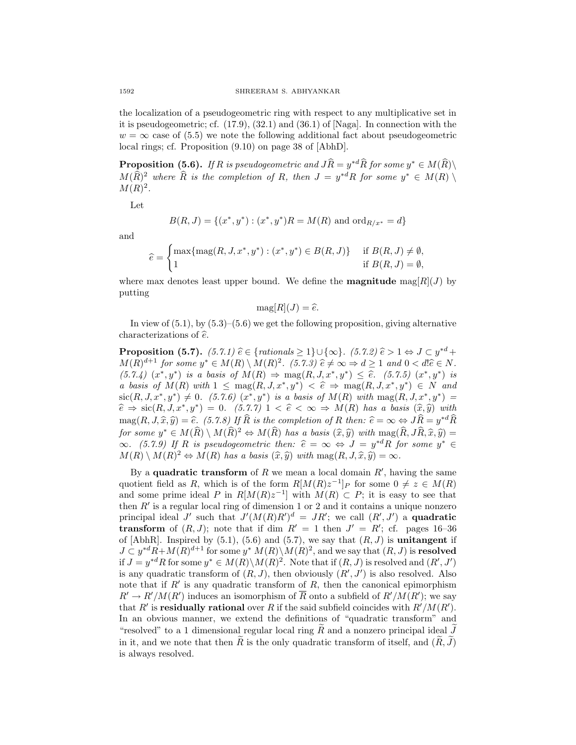the localization of a pseudogeometric ring with respect to any multiplicative set in it is pseudogeometric; cf. (17.9), (32.1) and (36.1) of [Naga]. In connection with the  $w = \infty$  case of (5.5) we note the following additional fact about pseudogeometric local rings; cf. Proposition (9.10) on page 38 of [AbhD].

**Proposition (5.6).** *If R is pseudogeometric and*  $J\hat{R} = y^*{}^d\hat{R}$  *for some*  $y^* \in M(\hat{R})\backslash$  $M(\widehat{R})^2$  where  $\widehat{R}$  *is the completion of R, then*  $J = y^{*d}R$  *for some*  $y^* \in M(R)$  $M(R)^{2}$ .

Let

$$
B(R, J) = \{(x^*, y^*): (x^*, y^*)R = M(R) \text{ and } \text{ord}_{R/x^*} = d\}
$$

and

$$
\widehat{e} = \begin{cases} \max\{\max(R, J, x^*, y^*): (x^*, y^*) \in B(R, J)\} & \text{if } B(R, J) \neq \emptyset, \\ 1 & \text{if } B(R, J) = \emptyset, \end{cases}
$$

where max denotes least upper bound. We define the **magnitude**  $\text{mag}[R](J)$  by putting

$$
\mathrm{mag}[R](J) = \hat{e}.
$$

In view of  $(5.1)$ , by  $(5.3)$ – $(5.6)$  we get the following proposition, giving alternative characterizations of  $\hat{e}$ .

**Proposition (5.7).**  $(5.7.1) \hat{e} \in \{rationals \geq 1\} \cup \{\infty\}$ .  $(5.7.2) \hat{e} > 1 \Leftrightarrow J \subset y^{*d} +$  $M(R)^{d+1}$  for some  $y^* \in M(R) \setminus M(R)^2$ . (5.7.3)  $\hat{e} \neq \infty \Rightarrow d \geq 1$  and  $0 < d\hat{e} \in N$ .  $(5.7.4)$   $(x^*, y^*)$  is a basis of  $M(R) \Rightarrow \text{mag}(R, J, x^*, y^*) \leq \hat{e}$ .  $(5.7.5)$   $(x^*, y^*)$  is *a basis of*  $M(R)$  *with*  $1 \leq \text{mag}(R, J, x^*, y^*) < \hat{e} \Rightarrow \text{mag}(R, J, x^*, y^*) \in N$  *and*  $\text{sic}(R, J, x^*, y^*) \neq 0$ . (5.7.6)  $(x^*, y^*)$  is a basis of  $M(R)$  with  $\text{mag}(R, J, x^*, y^*) =$  $\hat{e} \Rightarrow \text{sic}(R, J, x^*, y^*) = 0$ . (5.7.7)  $1 < \hat{e} < \infty \Rightarrow M(R)$  has a basis  $(\hat{x}, \hat{y})$  with  $\text{mag}(R, J, \hat{x}, \hat{y}) = \hat{e}$ *. (5.7.8)* If  $\hat{R}$  is the completion of R then:  $\hat{e} = \infty \Leftrightarrow J\hat{R} = y^{*d}\hat{R}$ for some  $y^* \in M(\widehat{R}) \setminus M(\widehat{R})^2 \Leftrightarrow M(\widehat{R})$  has a basis  $(\widehat{x}, \widehat{y})$  with  $\text{mag}(\widehat{R}, J\widehat{R}, \widehat{x}, \widehat{y}) =$ *∞.* (5.7.9) If R is pseudogeometric then:  $\hat{e} = \infty \Leftrightarrow J = y^{*d}R$  for some  $y^{*} \in$  $M(R) \setminus M(R)^2 \Leftrightarrow M(R)$  *has a basis*  $(\hat{x}, \hat{y})$  *with* mag $(R, J, \hat{x}, \hat{y}) = \infty$ *.* 

By a **quadratic transform** of  $R$  we mean a local domain  $R'$ , having the same quotient field as *R*, which is of the form  $R[M(R)z^{-1}]_P$  for some  $0 \neq z \in M(R)$ and some prime ideal *P* in  $R[M(R)z^{-1}]$  with  $M(R) \subset P$ ; it is easy to see that then *R<sup>0</sup>* is a regular local ring of dimension 1 or 2 and it contains a unique nonzero principal ideal *J'* such that  $J'(M(R)R')^d = JR'$ ; we call  $(R', J')$  a **quadratic transform** of  $(R, J)$ ; note that if dim  $R' = 1$  then  $J' = R'$ ; cf. pages 16-36 of  $[AbhR]$ . Inspired by  $(5.1)$ ,  $(5.6)$  and  $(5.7)$ , we say that  $(R, J)$  is **unitangent** if  $J \subset y^{*d}R + M(R)^{d+1}$  for some  $y^{*} M(R) \setminus M(R)^{2}$ , and we say that  $(R, J)$  is **resolved** if  $J = y^{*d}R$  for some  $y^* \in M(R) \backslash M(R)^2$ . Note that if  $(R, J)$  is resolved and  $(R', J')$ is any quadratic transform of  $(R, J)$ , then obviously  $(R', J')$  is also resolved. Also note that if  $R'$  is any quadratic transform of  $R$ , then the canonical epimorphism  $R' \to R'/M(R')$  induces an isomorphism of *R* onto a subfield of  $R'/M(R')$ ; we say that *R*<sup>*i*</sup> is **residually rational** over *R* if the said subfield coincides with  $R'/M(R')$ . In an obvious manner, we extend the definitions of "quadratic transform" and "resolved" to a 1 dimensional regular local ring  $R$  and a nonzero principal ideal  $J$ in it, and we note that then  $R$  is the only quadratic transform of itself, and  $(R, J)$ is always resolved.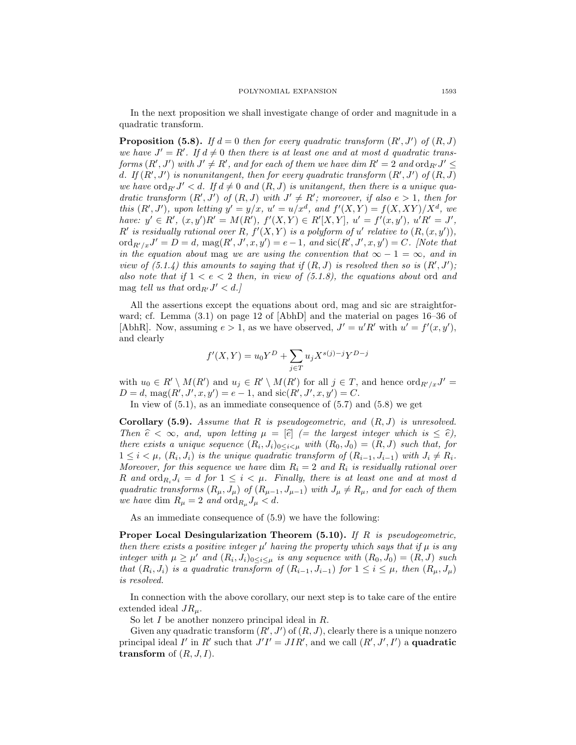In the next proposition we shall investigate change of order and magnitude in a quadratic transform.

**Proposition (5.8).** If  $d = 0$  then for every quadratic transform  $(R', J')$  of  $(R, J)$ *we have*  $J' = R'$ . If  $d \neq 0$  then there is at least one and at most *d* quadratic transforms  $(R',J')$  with  $J'\neq R'$ , and for each of them we have dim  $R'=2$  and  $\operatorname{ord}_{R'}J'\leq$ *d.* If  $(R', J')$  is nonunitangent, then for every quadratic transform  $(R', J')$  of  $(R, J)$ *we have* ord<sub>*R</sub>* $J' < d$ *. If*  $d \neq 0$  *and*  $(R, J)$  *is unitangent, then there is a unique qua-*</sub> *dratic transform*  $(R', J')$  *of*  $(R, J)$  *with*  $J' \neq R'$ ; *moreover, if also*  $e > 1$ *, then for* this  $(R', J')$ , upon letting  $y' = y/x$ ,  $u' = u/x^d$ , and  $f'(X, Y) = f(X, XY)/X^d$ , we have:  $y' \in R'$ ,  $(x, y')R' = M(R')$ ,  $f'(X, Y) \in R'[X, Y]$ ,  $u' = f'(x, y')$ ,  $u'R' = J'$ , *R*<sup>*i*</sup> is residually rational over *R*,  $f'(X, Y)$  is a polyform of *u'* relative to  $(R, (x, y'))$ ,  $\mathrm{ord}_{R'/x}J' = D = d$ ,  $\mathrm{mag}(R', J', x, y') = e - 1$ , and  $\mathrm{sic}(R', J', x, y') = C$ . [Note that *in the equation about* mag *we are using the convention that*  $\infty - 1 = \infty$ *, and in view of*  $(5.1.4)$  this amounts to saying that if  $(R, J)$  is resolved then so is  $(R', J')$ ; *also note that if*  $1 < e < 2$  *then, in view of (5.1.8), the equations about* ord *and* mag *tell us that* ord<sub>*R'*</sub> $J' < d$ *.* 

All the assertions except the equations about ord, mag and sic are straightforward; cf. Lemma (3.1) on page 12 of [AbhD] and the material on pages 16–36 of [AbhR]. Now, assuming  $e > 1$ , as we have observed,  $J' = u'R'$  with  $u' = f'(x, y')$ , and clearly

$$
f'(X,Y) = u_0 Y^D + \sum_{j \in T} u_j X^{s(j)-j} Y^{D-j}
$$

with  $u_0 \in R' \setminus M(R')$  and  $u_j \in R' \setminus M(R')$  for all  $j \in T$ , and hence  $\mathrm{ord}_{R'/x}J' =$  $D = d$ ,  $\text{mag}(R', J', x, y') = e - 1$ , and  $\text{sic}(R', J', x, y') = C$ .

In view of  $(5.1)$ , as an immediate consequence of  $(5.7)$  and  $(5.8)$  we get

**Corollary (5.9).** *Assume that R is pseudogeometric, and* (*R, J*) *is unresolved. Then*  $\hat{e} < \infty$ *, and, upon letting*  $\mu = |\hat{e}|$  (= the largest integer which is  $\leq \hat{e}$ ), *there exists a unique sequence*  $(R_i, J_i)_{0 \leq i \leq \mu}$  *with*  $(R_0, J_0) = (R, J)$  *such that, for*  $1 \leq i \leq \mu$ ,  $(R_i, J_i)$  is the unique quadratic transform of  $(R_{i-1}, J_{i-1})$  with  $J_i \neq R_i$ . *Moreover, for this sequence we have* dim  $R_i = 2$  *and*  $R_i$  *is residually rational over R* and  $\text{ord}_{R_i}J_i = d$  *for*  $1 \leq i \leq \mu$ . Finally, there is at least one and at most *d quadratic transforms*  $(R_\mu, J_\mu)$  *of*  $(R_{\mu-1}, J_{\mu-1})$  *with*  $J_\mu \neq R_\mu$ *, and for each of them we have* dim  $R_{\mu} = 2$  *and* ord $_{R_{\mu}} J_{\mu} < d$ .

As an immediate consequence of (5.9) we have the following:

**Proper Local Desingularization Theorem (5.10).** *If R is pseudogeometric, then there exists a positive integer*  $\mu'$  *having the property which says that if*  $\mu$  *is any integer with*  $\mu \geq \mu'$  *and*  $(R_i, J_i)_{0 \leq i \leq \mu}$  *is any sequence with*  $(R_0, J_0) = (R, J)$  *such* that  $(R_i, J_i)$  is a quadratic transform of  $(R_{i-1}, J_{i-1})$  for  $1 \leq i \leq \mu$ , then  $(R_\mu, J_\mu)$ *is resolved.*

In connection with the above corollary, our next step is to take care of the entire extended ideal *JRµ*.

So let *I* be another nonzero principal ideal in *R*.

Given any quadratic transform  $(R', J')$  of  $(R, J)$ , clearly there is a unique nonzero principal ideal *I'* in *R'* such that  $J'I' = JIR'$ , and we call  $(R', J', I')$  a quadratic **transform** of (*R, J, I*).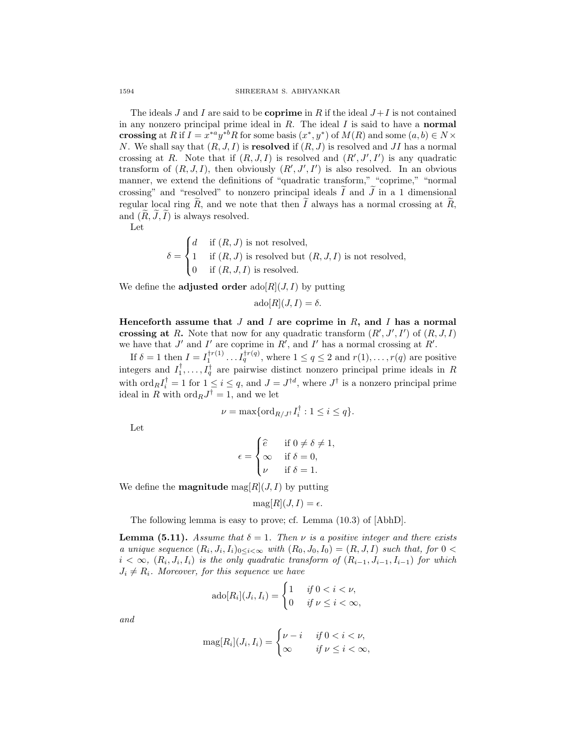The ideals  $J$  and  $I$  are said to be **coprime** in  $R$  if the ideal  $J+I$  is not contained in any nonzero principal prime ideal in *R*. The ideal *I* is said to have a **normal crossing** at *R* if  $I = x^{*a}y^{*b}R$  for some basis  $(x^*, y^*)$  of  $M(R)$  and some  $(a, b) \in N \times N$ *N*. We shall say that (*R, J, I*) is **resolved** if (*R, J*) is resolved and *JI* has a normal crossing at *R*. Note that if  $(R, J, I)$  is resolved and  $(R', J', I')$  is any quadratic transform of  $(R, J, I)$ , then obviously  $(R', J', I')$  is also resolved. In an obvious manner, we extend the definitions of "quadratic transform," "coprime," "normal crossing" and "resolved" to nonzero principal ideals  $I$  and  $J$  in a 1 dimensional regular local ring *R*, and we note that then *I* always has a normal crossing at *R*, and  $(R, J, I)$  is always resolved.

Let

$$
\delta = \begin{cases}\nd & \text{if } (R, J) \text{ is not resolved,} \\
1 & \text{if } (R, J) \text{ is resolved but } (R, J, I) \text{ is not resolved,} \\
0 & \text{if } (R, J, I) \text{ is resolved.}\n\end{cases}
$$

We define the **adjusted order** ado[ $R$ ](*J, I*) by putting

$$
ado[R](J,I) = \delta.
$$

**Henceforth assume that** *J* **and** *I* **are coprime in** *R***, and** *I* **has a normal crossing at** *R***.** Note that now for any quadratic transform  $(R', J', I')$  of  $(R, J, I)$ we have that  $J'$  and  $I'$  are coprime in  $R'$ , and  $I'$  has a normal crossing at  $R'$ .

If  $\delta = 1$  then  $I = I_1^{\dagger r(1)} \dots I_q^{\dagger r(q)}$ , where  $1 \le q \le 2$  and  $r(1), \dots, r(q)$  are positive integers and  $I_1^{\dagger}, \ldots, I_q^{\dagger}$  are pairwise distinct nonzero principal prime ideals in *R* with  $\text{ord}_R I_i^{\dagger} = 1$  for  $1 \leq i \leq q$ , and  $J = J^{\dagger d}$ , where  $J^{\dagger}$  is a nonzero principal prime ideal in *R* with ord<sub>*R*</sub> $J^{\dagger} = 1$ , and we let

$$
\nu = \max\{\mathrm{ord}_{R/J^{\dagger}}I_{i}^{\dagger} : 1 \leq i \leq q\}.
$$

Let

$$
\epsilon = \begin{cases} \hat{e} & \text{if } 0 \neq \delta \neq 1, \\ \infty & \text{if } \delta = 0, \\ \nu & \text{if } \delta = 1. \end{cases}
$$

We define the **magnitude**  $\text{mag}[R](J, I)$  by putting

$$
\mathrm{mag}[R](J,I) = \epsilon.
$$

The following lemma is easy to prove; cf. Lemma (10.3) of [AbhD].

**Lemma (5.11).** *Assume that*  $\delta = 1$ *. Then*  $\nu$  *is a positive integer and there exists a unique sequence*  $(R_i, J_i, I_i)_{0 \le i \le \infty}$  *with*  $(R_0, J_0, I_0) = (R, J, I)$  *such that, for*  $0 \le$  $i < \infty$ ,  $(R_i, J_i, I_i)$  *is the only quadratic transform of*  $(R_{i-1}, J_{i-1}, I_{i-1})$  *for which*  $J_i \neq R_i$ *. Moreover, for this sequence we have* 

$$
ad \circ [R_i](J_i, I_i) = \begin{cases} 1 & \text{if } 0 < i < \nu, \\ 0 & \text{if } \nu \le i < \infty, \end{cases}
$$

*and*

$$
\text{mag}[R_i](J_i, I_i) = \begin{cases} \nu - i & \text{if } 0 < i < \nu, \\ \infty & \text{if } \nu \leq i < \infty, \end{cases}
$$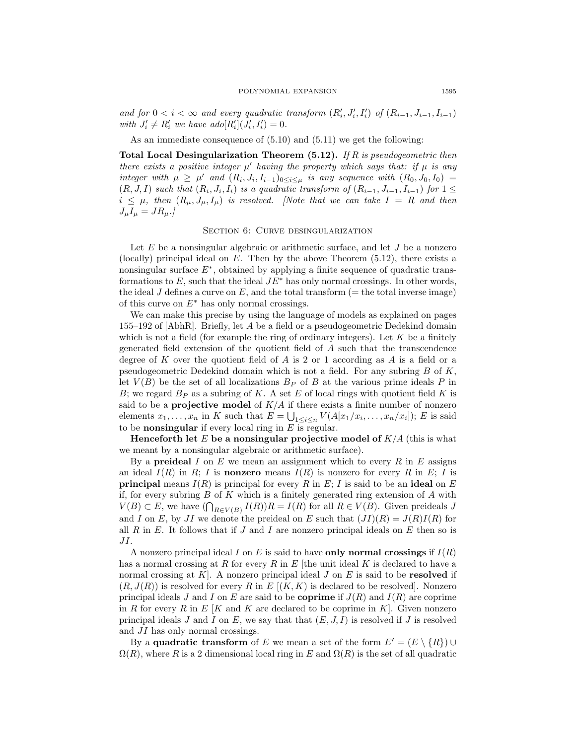and for  $0 < i < \infty$  and every quadratic transform  $(R'_i, J'_i, I'_i)$  of  $(R_{i-1}, J_{i-1}, I_{i-1})$ *with*  $J'_i \neq R'_i$  *we have ado*[ $R'_i$ ] $(J'_i, I'_i) = 0$ *.* 

As an immediate consequence of (5.10) and (5.11) we get the following:

**Total Local Desingularization Theorem (5.12).** *If R is pseudogeometric then there exists a positive integer*  $\mu'$  *having the property which says that: if*  $\mu$  *is any* integer with  $\mu \geq \mu'$  and  $(R_i, J_i, I_{i-1})_{0 \leq i \leq \mu}$  is any sequence with  $(R_0, J_0, I_0)$  $(R, J, I)$  such that  $(R_i, J_i, I_i)$  is a quadratic transform of  $(R_{i-1}, J_{i-1}, I_{i-1})$  for  $1 \leq$  $i \leq \mu$ , then  $(R_{\mu}, J_{\mu}, I_{\mu})$  is resolved. [Note that we can take  $I = R$  and then  $J_{\mu}I_{\mu} = JR_{\mu}$ .]

### SECTION 6: CURVE DESINGULARIZATION

Let *E* be a nonsingular algebraic or arithmetic surface, and let *J* be a nonzero (locally) principal ideal on *E*. Then by the above Theorem (5.12), there exists a nonsingular surface *E∗*, obtained by applying a finite sequence of quadratic transformations to *E*, such that the ideal *JE<sup>∗</sup>* has only normal crossings. In other words, the ideal *J* defines a curve on  $E$ , and the total transform ( $=$  the total inverse image) of this curve on *E<sup>∗</sup>* has only normal crossings.

We can make this precise by using the language of models as explained on pages 155–192 of [AbhR]. Briefly, let *A* be a field or a pseudogeometric Dedekind domain which is not a field (for example the ring of ordinary integers). Let *K* be a finitely generated field extension of the quotient field of *A* such that the transcendence degree of *K* over the quotient field of *A* is 2 or 1 according as *A* is a field or a pseudogeometric Dedekind domain which is not a field. For any subring *B* of *K*, let  $V(B)$  be the set of all localizations  $B_P$  of  $B$  at the various prime ideals  $P$  in *B*; we regard *B<sup>P</sup>* as a subring of *K*. A set *E* of local rings with quotient field *K* is said to be a **projective model** of  $K/A$  if there exists a finite number of nonzero elements  $x_1, \ldots, x_n$  in *K* such that  $E = \bigcup_{1 \leq i \leq n} V(A[x_1/x_i, \ldots, x_n/x_i])$ ; *E* is said to be **nonsingular** if every local ring in  $E$  is regular.

**Henceforth let**  $E$  be a nonsingular projective model of  $K/A$  (this is what we meant by a nonsingular algebraic or arithmetic surface).

By a **preideal** *I* on *E* we mean an assignment which to every *R* in *E* assigns an ideal  $I(R)$  in  $R$ ;  $I$  is **nonzero** means  $I(R)$  is nonzero for every  $R$  in  $E$ ;  $I$  is **principal** means  $I(R)$  is principal for every R in E; I is said to be an **ideal** on E if, for every subring *B* of *K* which is a finitely generated ring extension of *A* with *V*(*B*) ⊂ *E*, we have  $(\bigcap_{R \in V(B)} I(R))R = I(R)$  for all  $R \in V(B)$ . Given preideals *J* and *I* on *E*, by *JI* we denote the preideal on *E* such that  $(JI)(R) = J(R)I(R)$  for all *R* in *E*. It follows that if *J* and *I* are nonzero principal ideals on *E* then so is *JI*.

A nonzero principal ideal *I* on *E* is said to have **only normal crossings** if *I*(*R*) has a normal crossing at *R* for every *R* in *E* [the unit ideal *K* is declared to have a normal crossing at *K*]. A nonzero principal ideal *J* on *E* is said to be **resolved** if  $(R, J(R))$  is resolved for every R in E  $[(K, K)]$  is declared to be resolved. Nonzero principal ideals *J* and *I* on *E* are said to be **coprime** if  $J(R)$  and  $I(R)$  are coprime in *R* for every *R* in  $E$   $[K$  and  $K$  are declared to be coprime in  $K$ . Given nonzero principal ideals  $J$  and  $I$  on  $E$ , we say that that  $(E, J, I)$  is resolved if  $J$  is resolved and *JI* has only normal crossings.

By a **quadratic transform** of *E* we mean a set of the form  $E' = (E \setminus \{R\}) \cup$  $\Omega(R)$ , where *R* is a 2 dimensional local ring in *E* and  $\Omega(R)$  is the set of all quadratic